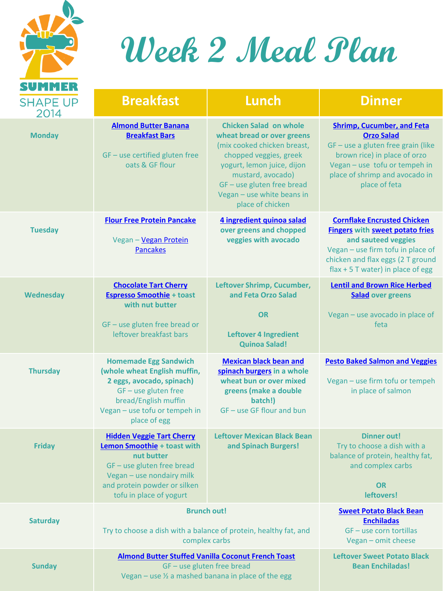

### **Week 2 Meal Plan**

| <b>SHAPE UP</b>       | <b>Breakfast</b>                                                                                                                                                                                    | <b>Lunch</b>                                                                                                                                                                                                                                          | <b>Dinner</b>                                                                                                                                                                                                             |
|-----------------------|-----------------------------------------------------------------------------------------------------------------------------------------------------------------------------------------------------|-------------------------------------------------------------------------------------------------------------------------------------------------------------------------------------------------------------------------------------------------------|---------------------------------------------------------------------------------------------------------------------------------------------------------------------------------------------------------------------------|
| 2014<br><b>Monday</b> | <b>Almond Butter Banana</b><br><b>Breakfast Bars</b><br>GF - use certified gluten free<br>oats & GF flour                                                                                           | <b>Chicken Salad on whole</b><br>wheat bread or over greens<br>(mix cooked chicken breast,<br>chopped veggies, greek<br>yogurt, lemon juice, dijon<br>mustard, avocado)<br>GF-use gluten free bread<br>Vegan - use white beans in<br>place of chicken | <b>Shrimp, Cucumber, and Feta</b><br><b>Orzo Salad</b><br>GF - use a gluten free grain (like<br>brown rice) in place of orzo<br>Vegan - use tofu or tempeh in<br>place of shrimp and avocado in<br>place of feta          |
| <b>Tuesday</b>        | <b>Flour Free Protein Pancake</b><br>Vegan - Vegan Protein<br><b>Pancakes</b>                                                                                                                       | 4 ingredient quinoa salad<br>over greens and chopped<br>veggies with avocado                                                                                                                                                                          | <b>Cornflake Encrusted Chicken</b><br><b>Fingers</b> with <b>sweet potato fries</b><br>and sauteed veggies<br>Vegan - use firm tofu in place of<br>chicken and flax eggs (2 T ground<br>flax + 5 T water) in place of egg |
| <b>Wednesday</b>      | <b>Chocolate Tart Cherry</b><br><b>Espresso Smoothie + toast</b><br>with nut butter<br>$GF - use$ gluten free bread or<br>leftover breakfast bars                                                   | Leftover Shrimp, Cucumber,<br>and Feta Orzo Salad<br><b>OR</b><br><b>Leftover 4 Ingredient</b><br><b>Quinoa Salad!</b>                                                                                                                                | <b>Lentil and Brown Rice Herbed</b><br><b>Salad</b> over greens<br>Vegan - use avocado in place of<br>feta                                                                                                                |
| <b>Thursday</b>       | <b>Homemade Egg Sandwich</b><br>(whole wheat English muffin,<br>2 eggs, avocado, spinach)<br>$GF - use gluten free$<br>bread/English muffin<br>Vegan - use tofu or tempeh in<br>place of egg        | <b>Mexican black bean and</b><br>spinach burgers in a whole<br>wheat bun or over mixed<br>greens (make a double<br>batch!)<br>GF - use GF flour and bun                                                                                               | <b>Pesto Baked Salmon and Veggies</b><br>Vegan - use firm tofu or tempeh<br>in place of salmon                                                                                                                            |
| <b>Friday</b>         | <b>Hidden Veggie Tart Cherry</b><br>Lemon Smoothie + toast with<br>nut butter<br>GF - use gluten free bread<br>Vegan - use nondairy milk<br>and protein powder or silken<br>tofu in place of yogurt | <b>Leftover Mexican Black Bean</b><br>and Spinach Burgers!                                                                                                                                                                                            | <b>Dinner out!</b><br>Try to choose a dish with a<br>balance of protein, healthy fat,<br>and complex carbs<br><b>OR</b><br>leftovers!                                                                                     |
| <b>Saturday</b>       | <b>Brunch out!</b><br>Try to choose a dish with a balance of protein, healthy fat, and<br>complex carbs                                                                                             |                                                                                                                                                                                                                                                       | <b>Sweet Potato Black Bean</b><br><b>Enchiladas</b><br>GF - use corn tortillas<br>Vegan - omit cheese                                                                                                                     |
| <b>Sunday</b>         | <b>Almond Butter Stuffed Vanilla Coconut French Toast</b><br>GF-use gluten free bread<br>Vegan – use $\frac{1}{2}$ a mashed banana in place of the egg                                              |                                                                                                                                                                                                                                                       | <b>Leftover Sweet Potato Black</b><br><b>Bean Enchiladas!</b>                                                                                                                                                             |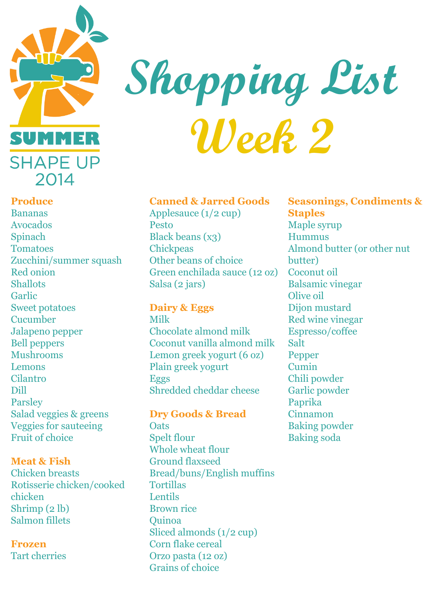

## **Shopping List Week 2**

#### **Canned & Jarred Goods**

Applesauce (1/2 cup) Pesto Black beans (x3) **Chickpeas** Other beans of choice Green enchilada sauce (12 oz) Coconut oil Salsa (2 jars)

**Dairy & Eggs** 

Milk Chocolate almond milk Coconut vanilla almond milk Lemon greek yogurt (6 oz) Plain greek yogurt Eggs Shredded cheddar cheese

**Dry Goods & Bread Oats** Spelt flour Whole wheat flour Ground flaxseed Bread/buns/English muffins **Tortillas Lentils** Brown rice Quinoa Sliced almonds (1/2 cup) Corn flake cereal Orzo pasta (12 oz) Grains of choice

**Seasonings, Condiments & Staples**  Maple syrup Hummus Almond butter (or other nut butter) Balsamic vinegar Olive oil Dijon mustard Red wine vinegar Espresso/coffee Salt Pepper Cumin Chili powder Garlic powder Paprika Cinnamon Baking powder Baking soda

#### **Produce**

Bananas Avocados Spinach **Tomatoes** Zucchini/summer squash Red onion Shallots **Garlic** Sweet potatoes Cucumber Jalapeno pepper Bell peppers Mushrooms Lemons Cilantro Dill Parsley Salad veggies & greens Veggies for sauteeing Fruit of choice

#### **Meat & Fish**

Chicken breasts Rotisserie chicken/cooked chicken Shrimp (2 lb) Salmon fillets

#### **Frozen**  Tart cherries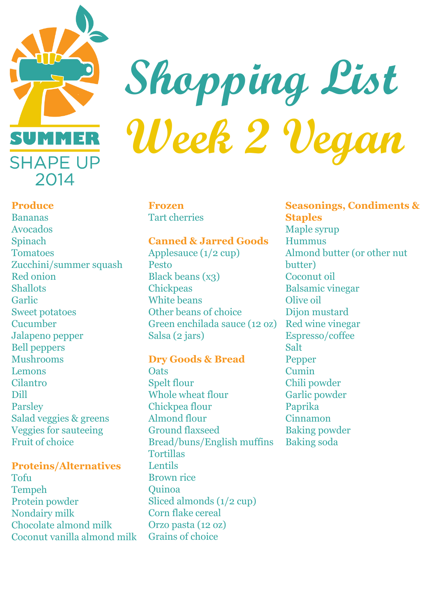

# **Shopping List Week 2 Vegan**

#### **Produce**

Bananas Avocados Spinach Tomatoes Zucchini/summer squash Red onion **Shallots** Garlic Sweet potatoes Cucumber Jalapeno pepper Bell peppers Mushrooms Lemons Cilantro Dill Parsley Salad veggies & greens Veggies for sauteeing Fruit of choice

#### **Proteins/Alternatives**

Tofu Tempeh Protein powder Nondairy milk Chocolate almond milk Coconut vanilla almond milk

#### **Frozen**  Tart cherries

#### **Canned & Jarred Goods**

Applesauce (1/2 cup) Pesto Black beans (x3) **Chickpeas** White beans Other beans of choice Green enchilada sauce (12 oz) Salsa (2 jars)

#### **Dry Goods & Bread**

**Oats** Spelt flour Whole wheat flour Chickpea flour Almond flour Ground flaxseed Bread/buns/English muffins Tortillas Lentils Brown rice **Ouinoa** Sliced almonds (1/2 cup) Corn flake cereal Orzo pasta (12 oz) Grains of choice

**Seasonings, Condiments & Staples**  Maple syrup Hummus Almond butter (or other nut butter) Coconut oil Balsamic vinegar Olive oil Dijon mustard Red wine vinegar Espresso/coffee Salt Pepper Cumin Chili powder Garlic powder Paprika Cinnamon Baking powder Baking soda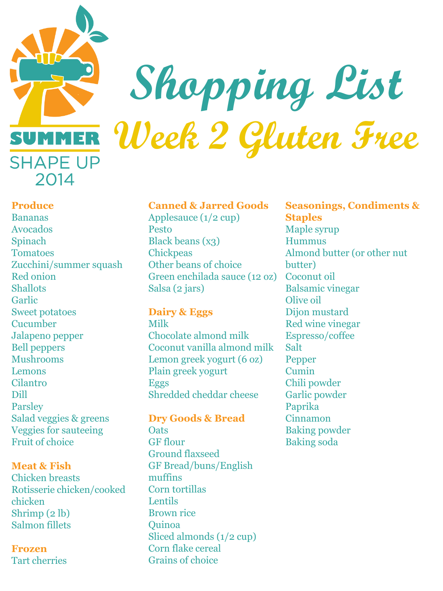

### **Shopping List Week 2 Gluten Free**

#### **Produce**

Bananas Avocados Spinach Tomatoes Zucchini/summer squash Red onion **Shallots** Garlic Sweet potatoes Cucumber Jalapeno pepper Bell peppers Mushrooms Lemons Cilantro Dill Parsley Salad veggies & greens Veggies for sauteeing Fruit of choice

#### **Meat & Fish**

Chicken breasts Rotisserie chicken/cooked chicken Shrimp (2 lb) Salmon fillets

**Frozen**  Tart cherries

#### **Canned & Jarred Goods**

Applesauce (1/2 cup) Pesto Black beans (x3) **Chickpeas** Other beans of choice Green enchilada sauce (12 oz) Salsa (2 jars)

#### **Dairy & Eggs**

Milk Chocolate almond milk Coconut vanilla almond milk Lemon greek yogurt (6 oz) Plain greek yogurt Eggs Shredded cheddar cheese

#### **Dry Goods & Bread**

**Oats** GF flour Ground flaxseed GF Bread/buns/English muffins Corn tortillas **Lentils** Brown rice Quinoa Sliced almonds (1/2 cup) Corn flake cereal Grains of choice

**Seasonings, Condiments & Staples**  Maple syrup Hummus Almond butter (or other nut butter) Coconut oil Balsamic vinegar Olive oil Dijon mustard Red wine vinegar Espresso/coffee Salt Pepper Cumin Chili powder Garlic powder Paprika Cinnamon Baking powder Baking soda